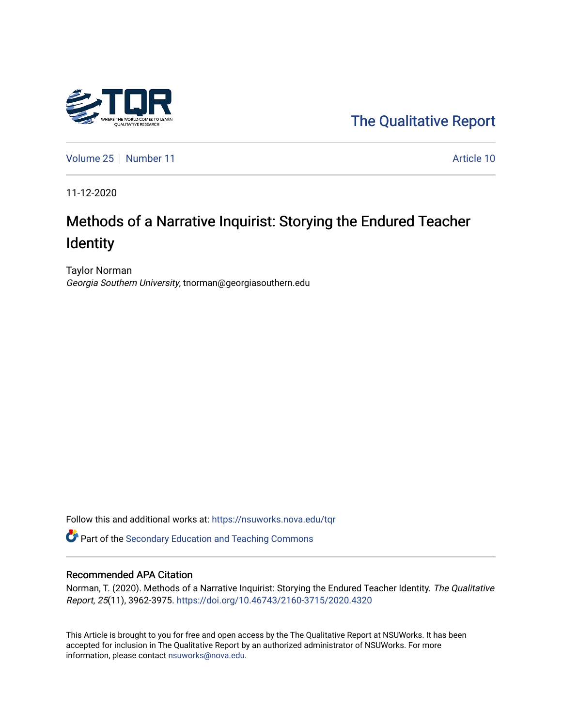

[The Qualitative Report](https://nsuworks.nova.edu/tqr) 

[Volume 25](https://nsuworks.nova.edu/tqr/vol25) [Number 11](https://nsuworks.nova.edu/tqr/vol25/iss11) Article 10

11-12-2020

# Methods of a Narrative Inquirist: Storying the Endured Teacher Identity

Taylor Norman Georgia Southern University, tnorman@georgiasouthern.edu

Follow this and additional works at: [https://nsuworks.nova.edu/tqr](https://nsuworks.nova.edu/tqr?utm_source=nsuworks.nova.edu%2Ftqr%2Fvol25%2Fiss11%2F10&utm_medium=PDF&utm_campaign=PDFCoverPages) 

Part of the [Secondary Education and Teaching Commons](http://network.bepress.com/hgg/discipline/809?utm_source=nsuworks.nova.edu%2Ftqr%2Fvol25%2Fiss11%2F10&utm_medium=PDF&utm_campaign=PDFCoverPages) 

# Recommended APA Citation

Norman, T. (2020). Methods of a Narrative Inquirist: Storying the Endured Teacher Identity. The Qualitative Report, 25(11), 3962-3975. <https://doi.org/10.46743/2160-3715/2020.4320>

This Article is brought to you for free and open access by the The Qualitative Report at NSUWorks. It has been accepted for inclusion in The Qualitative Report by an authorized administrator of NSUWorks. For more information, please contact [nsuworks@nova.edu.](mailto:nsuworks@nova.edu)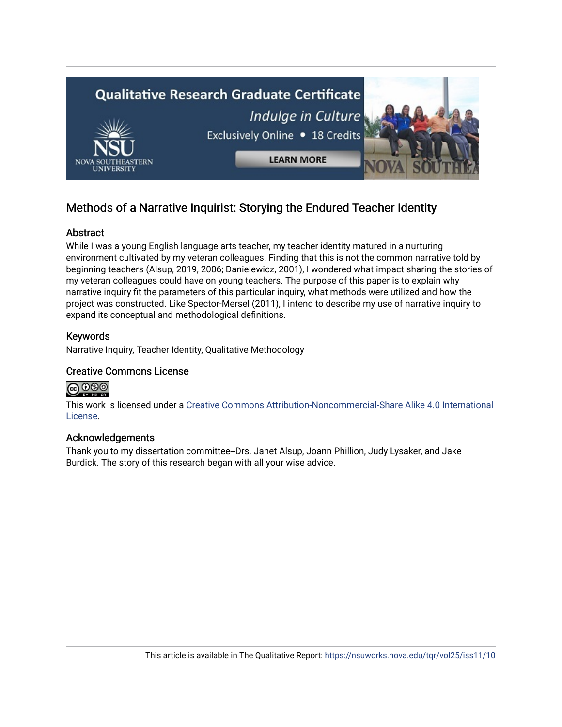

# Methods of a Narrative Inquirist: Storying the Endured Teacher Identity

# Abstract

While I was a young English language arts teacher, my teacher identity matured in a nurturing environment cultivated by my veteran colleagues. Finding that this is not the common narrative told by beginning teachers (Alsup, 2019, 2006; Danielewicz, 2001), I wondered what impact sharing the stories of my veteran colleagues could have on young teachers. The purpose of this paper is to explain why narrative inquiry fit the parameters of this particular inquiry, what methods were utilized and how the project was constructed. Like Spector-Mersel (2011), I intend to describe my use of narrative inquiry to expand its conceptual and methodological definitions.

# Keywords

Narrative Inquiry, Teacher Identity, Qualitative Methodology

# Creative Commons License



This work is licensed under a [Creative Commons Attribution-Noncommercial-Share Alike 4.0 International](https://creativecommons.org/licenses/by-nc-sa/4.0/)  [License](https://creativecommons.org/licenses/by-nc-sa/4.0/).

# Acknowledgements

Thank you to my dissertation committee--Drs. Janet Alsup, Joann Phillion, Judy Lysaker, and Jake Burdick. The story of this research began with all your wise advice.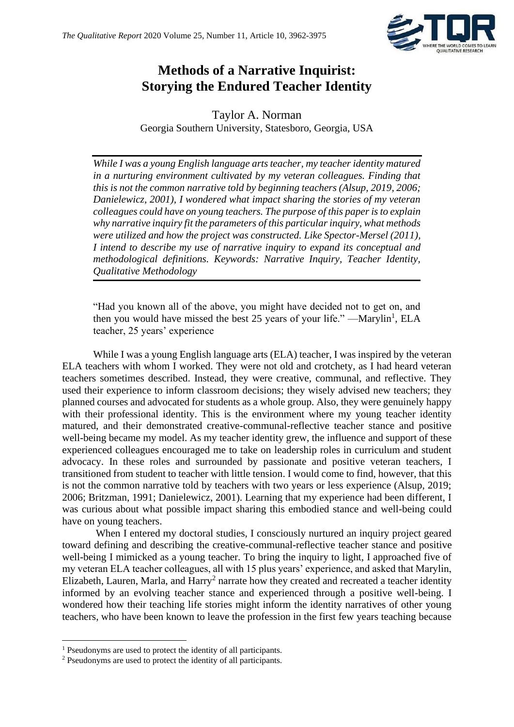

# **Methods of a Narrative Inquirist: Storying the Endured Teacher Identity**

Taylor A. Norman Georgia Southern University, Statesboro, Georgia, USA

*While I was a young English language arts teacher, my teacher identity matured in a nurturing environment cultivated by my veteran colleagues. Finding that this is not the common narrative told by beginning teachers (Alsup, 2019, 2006; Danielewicz, 2001), I wondered what impact sharing the stories of my veteran colleagues could have on young teachers. The purpose of this paper is to explain why narrative inquiry fit the parameters of this particular inquiry, what methods were utilized and how the project was constructed. Like Spector-Mersel (2011), I intend to describe my use of narrative inquiry to expand its conceptual and methodological definitions. Keywords: Narrative Inquiry, Teacher Identity, Qualitative Methodology*

"Had you known all of the above, you might have decided not to get on, and then you would have missed the best 25 years of your life."  $-Marylin<sup>1</sup>$ , ELA teacher, 25 years' experience

While I was a young English language arts (ELA) teacher, I was inspired by the veteran ELA teachers with whom I worked. They were not old and crotchety, as I had heard veteran teachers sometimes described. Instead, they were creative, communal, and reflective. They used their experience to inform classroom decisions; they wisely advised new teachers; they planned courses and advocated for students as a whole group. Also, they were genuinely happy with their professional identity. This is the environment where my young teacher identity matured, and their demonstrated creative-communal-reflective teacher stance and positive well-being became my model. As my teacher identity grew, the influence and support of these experienced colleagues encouraged me to take on leadership roles in curriculum and student advocacy. In these roles and surrounded by passionate and positive veteran teachers, I transitioned from student to teacher with little tension. I would come to find, however, that this is not the common narrative told by teachers with two years or less experience (Alsup, 2019; 2006; Britzman, 1991; Danielewicz, 2001). Learning that my experience had been different, I was curious about what possible impact sharing this embodied stance and well-being could have on young teachers.

When I entered my doctoral studies, I consciously nurtured an inquiry project geared toward defining and describing the creative-communal-reflective teacher stance and positive well-being I mimicked as a young teacher. To bring the inquiry to light, I approached five of my veteran ELA teacher colleagues, all with 15 plus years' experience, and asked that Marylin, Elizabeth, Lauren, Marla, and Harry<sup>2</sup> narrate how they created and recreated a teacher identity informed by an evolving teacher stance and experienced through a positive well-being. I wondered how their teaching life stories might inform the identity narratives of other young teachers, who have been known to leave the profession in the first few years teaching because

<sup>1</sup> Pseudonyms are used to protect the identity of all participants.

<sup>2</sup> Pseudonyms are used to protect the identity of all participants.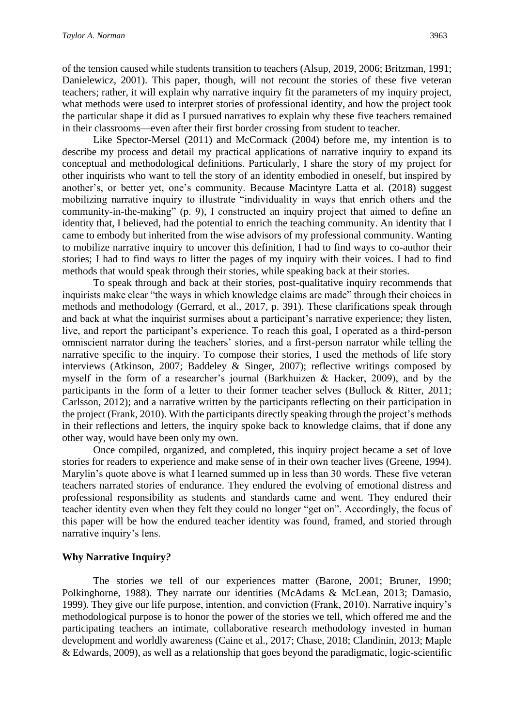of the tension caused while students transition to teachers (Alsup, 2019, 2006; Britzman, 1991; Danielewicz, 2001). This paper, though, will not recount the stories of these five veteran teachers; rather, it will explain why narrative inquiry fit the parameters of my inquiry project, what methods were used to interpret stories of professional identity, and how the project took the particular shape it did as I pursued narratives to explain why these five teachers remained in their classrooms—even after their first border crossing from student to teacher.

Like Spector-Mersel (2011) and McCormack (2004) before me, my intention is to describe my process and detail my practical applications of narrative inquiry to expand its conceptual and methodological definitions. Particularly, I share the story of my project for other inquirists who want to tell the story of an identity embodied in oneself, but inspired by another's, or better yet, one's community. Because Macintyre Latta et al. (2018) suggest mobilizing narrative inquiry to illustrate "individuality in ways that enrich others and the community-in-the-making" (p. 9), I constructed an inquiry project that aimed to define an identity that, I believed, had the potential to enrich the teaching community. An identity that I came to embody but inherited from the wise advisors of my professional community. Wanting to mobilize narrative inquiry to uncover this definition, I had to find ways to co-author their stories; I had to find ways to litter the pages of my inquiry with their voices. I had to find methods that would speak through their stories, while speaking back at their stories.

To speak through and back at their stories, post-qualitative inquiry recommends that inquirists make clear "the ways in which knowledge claims are made" through their choices in methods and methodology (Gerrard, et al., 2017, p. 391). These clarifications speak through and back at what the inquirist surmises about a participant's narrative experience; they listen, live, and report the participant's experience. To reach this goal, I operated as a third-person omniscient narrator during the teachers' stories, and a first-person narrator while telling the narrative specific to the inquiry. To compose their stories, I used the methods of life story interviews (Atkinson, 2007; Baddeley & Singer, 2007); reflective writings composed by myself in the form of a researcher's journal (Barkhuizen & Hacker, 2009), and by the participants in the form of a letter to their former teacher selves (Bullock & Ritter, 2011; Carlsson, 2012); and a narrative written by the participants reflecting on their participation in the project (Frank, 2010). With the participants directly speaking through the project's methods in their reflections and letters, the inquiry spoke back to knowledge claims, that if done any other way, would have been only my own.

Once compiled, organized, and completed, this inquiry project became a set of love stories for readers to experience and make sense of in their own teacher lives (Greene, 1994). Marylin's quote above is what I learned summed up in less than 30 words. These five veteran teachers narrated stories of endurance. They endured the evolving of emotional distress and professional responsibility as students and standards came and went. They endured their teacher identity even when they felt they could no longer "get on". Accordingly, the focus of this paper will be how the endured teacher identity was found, framed, and storied through narrative inquiry's lens.

# **Why Narrative Inquiry***?*

The stories we tell of our experiences matter (Barone, 2001; Bruner, 1990; Polkinghorne, 1988). They narrate our identities (McAdams & McLean, 2013; Damasio, 1999). They give our life purpose, intention, and conviction (Frank, 2010). Narrative inquiry's methodological purpose is to honor the power of the stories we tell, which offered me and the participating teachers an intimate, collaborative research methodology invested in human development and worldly awareness (Caine et al., 2017; Chase, 2018; Clandinin, 2013; Maple & Edwards, 2009), as well as a relationship that goes beyond the paradigmatic, logic-scientific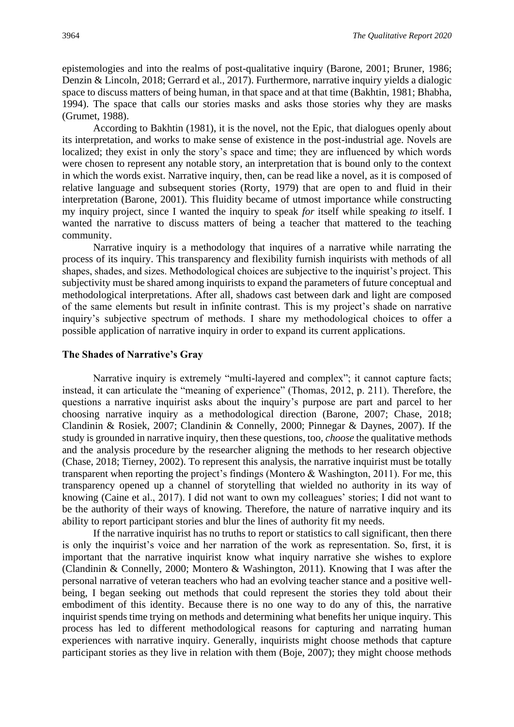epistemologies and into the realms of post-qualitative inquiry (Barone, 2001; Bruner, 1986; Denzin & Lincoln, 2018; Gerrard et al., 2017). Furthermore, narrative inquiry yields a dialogic space to discuss matters of being human, in that space and at that time (Bakhtin, 1981; Bhabha, 1994). The space that calls our stories masks and asks those stories why they are masks (Grumet, 1988).

According to Bakhtin (1981), it is the novel, not the Epic, that dialogues openly about its interpretation, and works to make sense of existence in the post-industrial age. Novels are localized; they exist in only the story's space and time; they are influenced by which words were chosen to represent any notable story, an interpretation that is bound only to the context in which the words exist. Narrative inquiry, then, can be read like a novel, as it is composed of relative language and subsequent stories (Rorty, 1979) that are open to and fluid in their interpretation (Barone, 2001). This fluidity became of utmost importance while constructing my inquiry project, since I wanted the inquiry to speak *for* itself while speaking *to* itself. I wanted the narrative to discuss matters of being a teacher that mattered to the teaching community.

Narrative inquiry is a methodology that inquires of a narrative while narrating the process of its inquiry. This transparency and flexibility furnish inquirists with methods of all shapes, shades, and sizes. Methodological choices are subjective to the inquirist's project. This subjectivity must be shared among inquirists to expand the parameters of future conceptual and methodological interpretations. After all, shadows cast between dark and light are composed of the same elements but result in infinite contrast. This is my project's shade on narrative inquiry's subjective spectrum of methods. I share my methodological choices to offer a possible application of narrative inquiry in order to expand its current applications.

#### **The Shades of Narrative's Gray**

Narrative inquiry is extremely "multi-layered and complex"; it cannot capture facts; instead, it can articulate the "meaning of experience" (Thomas, 2012, p. 211). Therefore, the questions a narrative inquirist asks about the inquiry's purpose are part and parcel to her choosing narrative inquiry as a methodological direction (Barone, 2007; Chase, 2018; Clandinin & Rosiek, 2007; Clandinin & Connelly, 2000; Pinnegar & Daynes, 2007). If the study is grounded in narrative inquiry, then these questions, too, *choose* the qualitative methods and the analysis procedure by the researcher aligning the methods to her research objective (Chase, 2018; Tierney, 2002). To represent this analysis, the narrative inquirist must be totally transparent when reporting the project's findings (Montero & Washington, 2011). For me, this transparency opened up a channel of storytelling that wielded no authority in its way of knowing (Caine et al., 2017). I did not want to own my colleagues' stories; I did not want to be the authority of their ways of knowing. Therefore, the nature of narrative inquiry and its ability to report participant stories and blur the lines of authority fit my needs.

If the narrative inquirist has no truths to report or statistics to call significant, then there is only the inquirist's voice and her narration of the work as representation. So, first, it is important that the narrative inquirist know what inquiry narrative she wishes to explore (Clandinin & Connelly, 2000; Montero & Washington, 2011). Knowing that I was after the personal narrative of veteran teachers who had an evolving teacher stance and a positive wellbeing, I began seeking out methods that could represent the stories they told about their embodiment of this identity. Because there is no one way to do any of this, the narrative inquirist spends time trying on methods and determining what benefits her unique inquiry. This process has led to different methodological reasons for capturing and narrating human experiences with narrative inquiry. Generally, inquirists might choose methods that capture participant stories as they live in relation with them (Boje, 2007); they might choose methods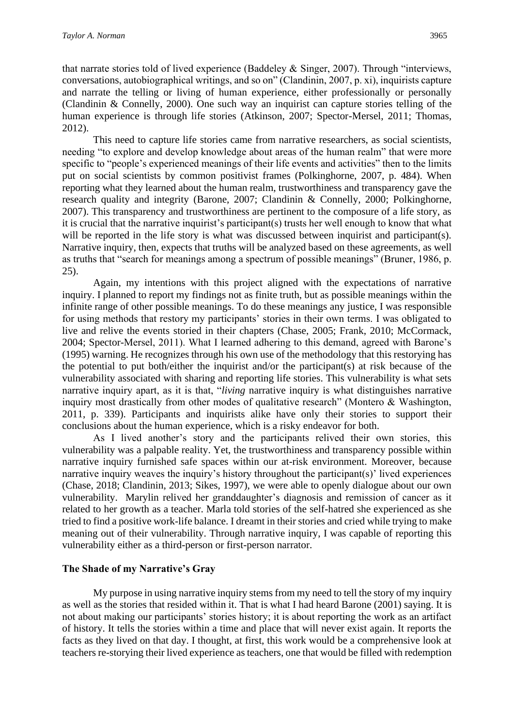that narrate stories told of lived experience (Baddeley & Singer, 2007). Through "interviews, conversations, autobiographical writings, and so on" (Clandinin, 2007, p. xi), inquirists capture and narrate the telling or living of human experience, either professionally or personally (Clandinin & Connelly, 2000). One such way an inquirist can capture stories telling of the human experience is through life stories (Atkinson, 2007; Spector-Mersel, 2011; Thomas, 2012).

This need to capture life stories came from narrative researchers, as social scientists, needing "to explore and develop knowledge about areas of the human realm" that were more specific to "people's experienced meanings of their life events and activities" then to the limits put on social scientists by common positivist frames (Polkinghorne, 2007, p. 484). When reporting what they learned about the human realm, trustworthiness and transparency gave the research quality and integrity (Barone, 2007; Clandinin & Connelly, 2000; Polkinghorne, 2007). This transparency and trustworthiness are pertinent to the composure of a life story, as it is crucial that the narrative inquirist's participant(s) trusts her well enough to know that what will be reported in the life story is what was discussed between inquirist and participant(s). Narrative inquiry, then, expects that truths will be analyzed based on these agreements, as well as truths that "search for meanings among a spectrum of possible meanings" (Bruner, 1986, p. 25).

Again, my intentions with this project aligned with the expectations of narrative inquiry. I planned to report my findings not as finite truth, but as possible meanings within the infinite range of other possible meanings. To do these meanings any justice, I was responsible for using methods that restory my participants' stories in their own terms. I was obligated to live and relive the events storied in their chapters (Chase, 2005; Frank, 2010; McCormack, 2004; Spector-Mersel, 2011). What I learned adhering to this demand, agreed with Barone's (1995) warning. He recognizes through his own use of the methodology that this restorying has the potential to put both/either the inquirist and/or the participant(s) at risk because of the vulnerability associated with sharing and reporting life stories. This vulnerability is what sets narrative inquiry apart, as it is that, "*living* narrative inquiry is what distinguishes narrative inquiry most drastically from other modes of qualitative research" (Montero & Washington, 2011, p. 339). Participants and inquirists alike have only their stories to support their conclusions about the human experience, which is a risky endeavor for both.

As I lived another's story and the participants relived their own stories, this vulnerability was a palpable reality. Yet, the trustworthiness and transparency possible within narrative inquiry furnished safe spaces within our at-risk environment. Moreover, because narrative inquiry weaves the inquiry's history throughout the participant(s)' lived experiences (Chase, 2018; Clandinin, 2013; Sikes, 1997), we were able to openly dialogue about our own vulnerability. Marylin relived her granddaughter's diagnosis and remission of cancer as it related to her growth as a teacher. Marla told stories of the self-hatred she experienced as she tried to find a positive work-life balance. I dreamt in their stories and cried while trying to make meaning out of their vulnerability. Through narrative inquiry, I was capable of reporting this vulnerability either as a third-person or first-person narrator.

# **The Shade of my Narrative's Gray**

My purpose in using narrative inquiry stems from my need to tell the story of my inquiry as well as the stories that resided within it. That is what I had heard Barone (2001) saying. It is not about making our participants' stories history; it is about reporting the work as an artifact of history. It tells the stories within a time and place that will never exist again. It reports the facts as they lived on that day. I thought, at first, this work would be a comprehensive look at teachers re-storying their lived experience as teachers, one that would be filled with redemption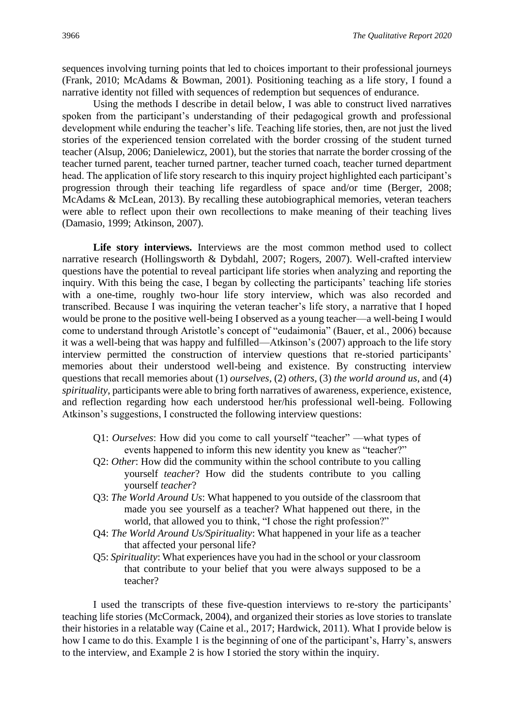sequences involving turning points that led to choices important to their professional journeys (Frank, 2010; McAdams & Bowman, 2001). Positioning teaching as a life story, I found a narrative identity not filled with sequences of redemption but sequences of endurance.

Using the methods I describe in detail below, I was able to construct lived narratives spoken from the participant's understanding of their pedagogical growth and professional development while enduring the teacher's life. Teaching life stories, then, are not just the lived stories of the experienced tension correlated with the border crossing of the student turned teacher (Alsup, 2006; Danielewicz, 2001), but the stories that narrate the border crossing of the teacher turned parent, teacher turned partner, teacher turned coach, teacher turned department head. The application of life story research to this inquiry project highlighted each participant's progression through their teaching life regardless of space and/or time (Berger, 2008; McAdams & McLean, 2013). By recalling these autobiographical memories, veteran teachers were able to reflect upon their own recollections to make meaning of their teaching lives (Damasio, 1999; Atkinson, 2007).

**Life story interviews.** Interviews are the most common method used to collect narrative research (Hollingsworth & Dybdahl, 2007; Rogers, 2007). Well-crafted interview questions have the potential to reveal participant life stories when analyzing and reporting the inquiry. With this being the case, I began by collecting the participants' teaching life stories with a one-time, roughly two-hour life story interview, which was also recorded and transcribed. Because I was inquiring the veteran teacher's life story, a narrative that I hoped would be prone to the positive well-being I observed as a young teacher—a well-being I would come to understand through Aristotle's concept of "eudaimonia" (Bauer, et al., 2006) because it was a well-being that was happy and fulfilled—Atkinson's (2007) approach to the life story interview permitted the construction of interview questions that re-storied participants' memories about their understood well-being and existence. By constructing interview questions that recall memories about (1) *ourselves*, (2) *others*, (3) *the world around us*, and (4) *spirituality*, participants were able to bring forth narratives of awareness, experience, existence, and reflection regarding how each understood her/his professional well-being. Following Atkinson's suggestions, I constructed the following interview questions:

- Q1: *Ourselves*: How did you come to call yourself "teacher" —what types of events happened to inform this new identity you knew as "teacher?"
- Q2: *Other*: How did the community within the school contribute to you calling yourself *teacher*? How did the students contribute to you calling yourself *teacher*?
- Q3: *The World Around Us*: What happened to you outside of the classroom that made you see yourself as a teacher? What happened out there, in the world, that allowed you to think, "I chose the right profession?"
- Q4: *The World Around Us/Spirituality*: What happened in your life as a teacher that affected your personal life?
- Q5: *Spirituality*: What experiences have you had in the school or your classroom that contribute to your belief that you were always supposed to be a teacher?

I used the transcripts of these five-question interviews to re-story the participants' teaching life stories (McCormack, 2004), and organized their stories as love stories to translate their histories in a relatable way (Caine et al., 2017; Hardwick, 2011). What I provide below is how I came to do this. Example 1 is the beginning of one of the participant's, Harry's, answers to the interview, and Example 2 is how I storied the story within the inquiry.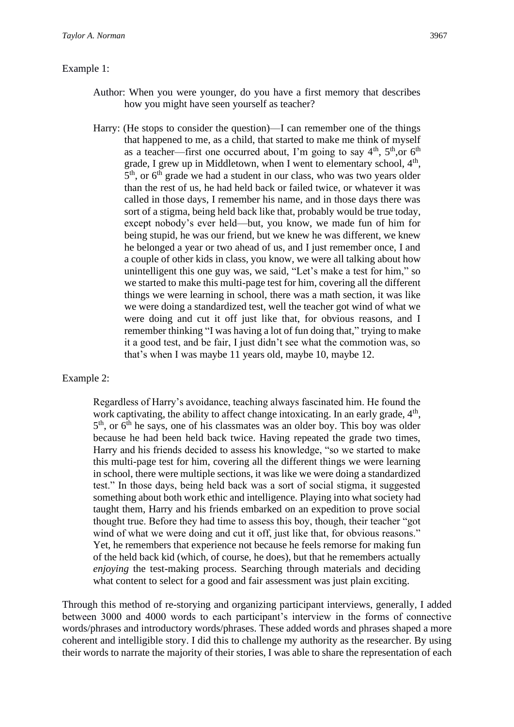# Example 1:

- Author: When you were younger, do you have a first memory that describes how you might have seen yourself as teacher?
- Harry: (He stops to consider the question)—I can remember one of the things that happened to me, as a child, that started to make me think of myself as a teacher—first one occurred about, I'm going to say  $4<sup>th</sup>$ ,  $5<sup>th</sup>$ , or  $6<sup>th</sup>$ grade, I grew up in Middletown, when I went to elementary school, 4<sup>th</sup>, 5<sup>th</sup>, or 6<sup>th</sup> grade we had a student in our class, who was two years older than the rest of us, he had held back or failed twice, or whatever it was called in those days, I remember his name, and in those days there was sort of a stigma, being held back like that, probably would be true today, except nobody's ever held—but, you know, we made fun of him for being stupid, he was our friend, but we knew he was different, we knew he belonged a year or two ahead of us, and I just remember once, I and a couple of other kids in class, you know, we were all talking about how unintelligent this one guy was, we said, "Let's make a test for him," so we started to make this multi-page test for him, covering all the different things we were learning in school, there was a math section, it was like we were doing a standardized test, well the teacher got wind of what we were doing and cut it off just like that, for obvious reasons, and I remember thinking "I was having a lot of fun doing that," trying to make it a good test, and be fair, I just didn't see what the commotion was, so that's when I was maybe 11 years old, maybe 10, maybe 12.

# Example 2:

Regardless of Harry's avoidance, teaching always fascinated him. He found the work captivating, the ability to affect change intoxicating. In an early grade,  $4<sup>th</sup>$ , 5<sup>th</sup>, or 6<sup>th</sup> he says, one of his classmates was an older boy. This boy was older because he had been held back twice. Having repeated the grade two times, Harry and his friends decided to assess his knowledge, "so we started to make this multi-page test for him, covering all the different things we were learning in school, there were multiple sections, it was like we were doing a standardized test." In those days, being held back was a sort of social stigma, it suggested something about both work ethic and intelligence. Playing into what society had taught them, Harry and his friends embarked on an expedition to prove social thought true. Before they had time to assess this boy, though, their teacher "got wind of what we were doing and cut it off, just like that, for obvious reasons." Yet, he remembers that experience not because he feels remorse for making fun of the held back kid (which, of course, he does), but that he remembers actually *enjoying* the test-making process. Searching through materials and deciding what content to select for a good and fair assessment was just plain exciting.

Through this method of re-storying and organizing participant interviews, generally, I added between 3000 and 4000 words to each participant's interview in the forms of connective words/phrases and introductory words/phrases. These added words and phrases shaped a more coherent and intelligible story. I did this to challenge my authority as the researcher. By using their words to narrate the majority of their stories, I was able to share the representation of each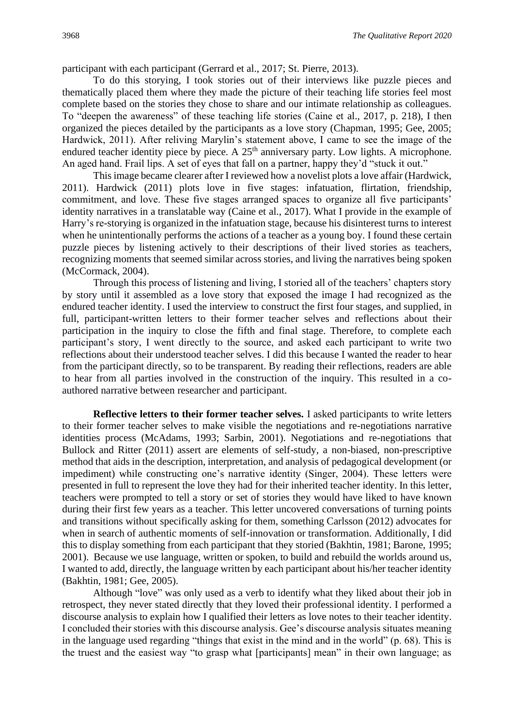participant with each participant (Gerrard et al., 2017; St. Pierre, 2013).

To do this storying, I took stories out of their interviews like puzzle pieces and thematically placed them where they made the picture of their teaching life stories feel most complete based on the stories they chose to share and our intimate relationship as colleagues. To "deepen the awareness" of these teaching life stories (Caine et al., 2017, p. 218), I then organized the pieces detailed by the participants as a love story (Chapman, 1995; Gee, 2005; Hardwick, 2011). After reliving Marylin's statement above, I came to see the image of the endured teacher identity piece by piece. A  $25<sup>th</sup>$  anniversary party. Low lights. A microphone. An aged hand. Frail lips. A set of eyes that fall on a partner, happy they'd "stuck it out."

This image became clearer after I reviewed how a novelist plots a love affair (Hardwick, 2011). Hardwick (2011) plots love in five stages: infatuation, flirtation, friendship, commitment, and love. These five stages arranged spaces to organize all five participants' identity narratives in a translatable way (Caine et al., 2017). What I provide in the example of Harry's re-storying is organized in the infatuation stage, because his disinterest turns to interest when he unintentionally performs the actions of a teacher as a young boy. I found these certain puzzle pieces by listening actively to their descriptions of their lived stories as teachers, recognizing moments that seemed similar across stories, and living the narratives being spoken (McCormack, 2004).

Through this process of listening and living, I storied all of the teachers' chapters story by story until it assembled as a love story that exposed the image I had recognized as the endured teacher identity. I used the interview to construct the first four stages, and supplied, in full, participant-written letters to their former teacher selves and reflections about their participation in the inquiry to close the fifth and final stage. Therefore, to complete each participant's story, I went directly to the source, and asked each participant to write two reflections about their understood teacher selves. I did this because I wanted the reader to hear from the participant directly, so to be transparent. By reading their reflections, readers are able to hear from all parties involved in the construction of the inquiry. This resulted in a coauthored narrative between researcher and participant.

**Reflective letters to their former teacher selves.** I asked participants to write letters to their former teacher selves to make visible the negotiations and re-negotiations narrative identities process (McAdams, 1993; Sarbin, 2001). Negotiations and re-negotiations that Bullock and Ritter (2011) assert are elements of self-study, a non-biased, non-prescriptive method that aids in the description, interpretation, and analysis of pedagogical development (or impediment) while constructing one's narrative identity (Singer, 2004). These letters were presented in full to represent the love they had for their inherited teacher identity. In this letter, teachers were prompted to tell a story or set of stories they would have liked to have known during their first few years as a teacher. This letter uncovered conversations of turning points and transitions without specifically asking for them, something Carlsson (2012) advocates for when in search of authentic moments of self-innovation or transformation. Additionally, I did this to display something from each participant that they storied (Bakhtin, 1981; Barone, 1995; 2001). Because we use language, written or spoken, to build and rebuild the worlds around us, I wanted to add, directly, the language written by each participant about his/her teacher identity (Bakhtin, 1981; Gee, 2005).

Although "love" was only used as a verb to identify what they liked about their job in retrospect, they never stated directly that they loved their professional identity. I performed a discourse analysis to explain how I qualified their letters as love notes to their teacher identity. I concluded their stories with this discourse analysis. Gee's discourse analysis situates meaning in the language used regarding "things that exist in the mind and in the world" (p. 68). This is the truest and the easiest way "to grasp what [participants] mean" in their own language; as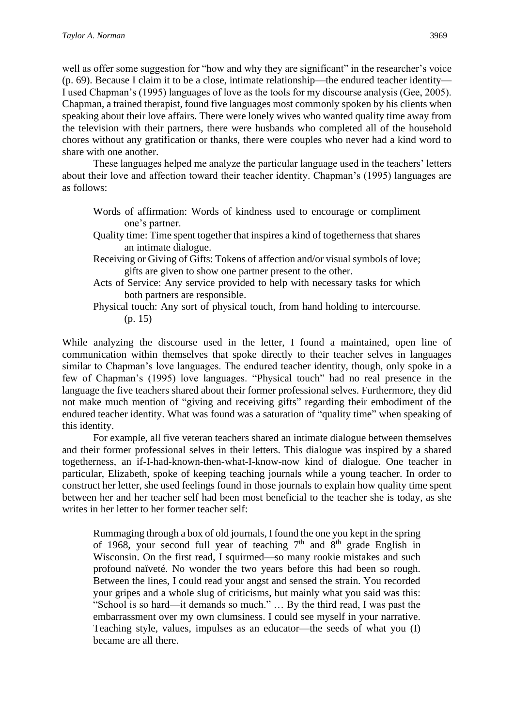well as offer some suggestion for "how and why they are significant" in the researcher's voice (p. 69). Because I claim it to be a close, intimate relationship—the endured teacher identity— I used Chapman's (1995) languages of love as the tools for my discourse analysis (Gee, 2005). Chapman, a trained therapist, found five languages most commonly spoken by his clients when speaking about their love affairs. There were lonely wives who wanted quality time away from the television with their partners, there were husbands who completed all of the household chores without any gratification or thanks, there were couples who never had a kind word to share with one another.

These languages helped me analyze the particular language used in the teachers' letters about their love and affection toward their teacher identity. Chapman's (1995) languages are as follows:

- Words of affirmation: Words of kindness used to encourage or compliment one's partner.
- Quality time: Time spent together that inspires a kind of togetherness that shares an intimate dialogue.
- Receiving or Giving of Gifts: Tokens of affection and/or visual symbols of love; gifts are given to show one partner present to the other.
- Acts of Service: Any service provided to help with necessary tasks for which both partners are responsible.
- Physical touch: Any sort of physical touch, from hand holding to intercourse. (p. 15)

While analyzing the discourse used in the letter, I found a maintained, open line of communication within themselves that spoke directly to their teacher selves in languages similar to Chapman's love languages. The endured teacher identity, though, only spoke in a few of Chapman's (1995) love languages. "Physical touch" had no real presence in the language the five teachers shared about their former professional selves. Furthermore, they did not make much mention of "giving and receiving gifts" regarding their embodiment of the endured teacher identity. What was found was a saturation of "quality time" when speaking of this identity.

 For example, all five veteran teachers shared an intimate dialogue between themselves and their former professional selves in their letters. This dialogue was inspired by a shared togetherness, an if-I-had-known-then-what-I-know-now kind of dialogue. One teacher in particular, Elizabeth, spoke of keeping teaching journals while a young teacher. In order to construct her letter, she used feelings found in those journals to explain how quality time spent between her and her teacher self had been most beneficial to the teacher she is today, as she writes in her letter to her former teacher self:

Rummaging through a box of old journals, I found the one you kept in the spring of 1968, your second full year of teaching  $7<sup>th</sup>$  and  $8<sup>th</sup>$  grade English in Wisconsin. On the first read, I squirmed—so many rookie mistakes and such profound naïveté. No wonder the two years before this had been so rough. Between the lines, I could read your angst and sensed the strain. You recorded your gripes and a whole slug of criticisms, but mainly what you said was this: "School is so hard—it demands so much." … By the third read, I was past the embarrassment over my own clumsiness. I could see myself in your narrative. Teaching style, values, impulses as an educator—the seeds of what you (I) became are all there.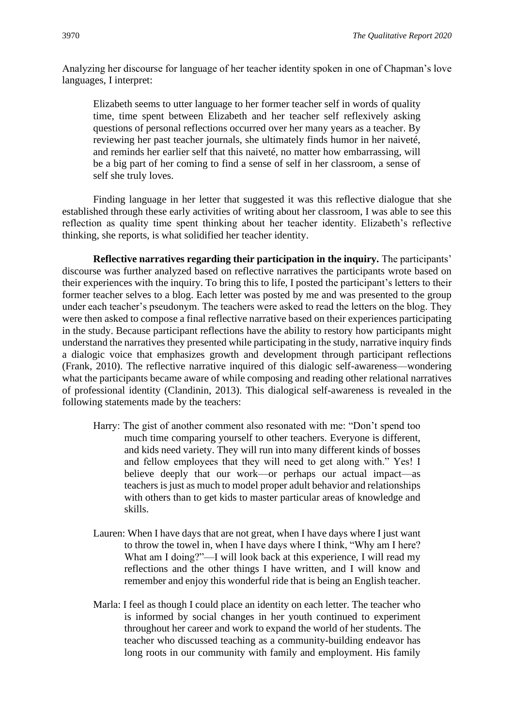Analyzing her discourse for language of her teacher identity spoken in one of Chapman's love languages, I interpret:

Elizabeth seems to utter language to her former teacher self in words of quality time, time spent between Elizabeth and her teacher self reflexively asking questions of personal reflections occurred over her many years as a teacher. By reviewing her past teacher journals, she ultimately finds humor in her naiveté, and reminds her earlier self that this naiveté, no matter how embarrassing, will be a big part of her coming to find a sense of self in her classroom, a sense of self she truly loves.

Finding language in her letter that suggested it was this reflective dialogue that she established through these early activities of writing about her classroom, I was able to see this reflection as quality time spent thinking about her teacher identity. Elizabeth's reflective thinking, she reports, is what solidified her teacher identity.

**Reflective narratives regarding their participation in the inquiry.** The participants' discourse was further analyzed based on reflective narratives the participants wrote based on their experiences with the inquiry. To bring this to life, I posted the participant's letters to their former teacher selves to a blog. Each letter was posted by me and was presented to the group under each teacher's pseudonym. The teachers were asked to read the letters on the blog. They were then asked to compose a final reflective narrative based on their experiences participating in the study. Because participant reflections have the ability to restory how participants might understand the narratives they presented while participating in the study, narrative inquiry finds a dialogic voice that emphasizes growth and development through participant reflections (Frank, 2010). The reflective narrative inquired of this dialogic self-awareness—wondering what the participants became aware of while composing and reading other relational narratives of professional identity (Clandinin, 2013). This dialogical self-awareness is revealed in the following statements made by the teachers:

- Harry: The gist of another comment also resonated with me: "Don't spend too much time comparing yourself to other teachers. Everyone is different, and kids need variety. They will run into many different kinds of bosses and fellow employees that they will need to get along with." Yes! I believe deeply that our work—or perhaps our actual impact—as teachers is just as much to model proper adult behavior and relationships with others than to get kids to master particular areas of knowledge and skills.
- Lauren: When I have days that are not great, when I have days where I just want to throw the towel in, when I have days where I think, "Why am I here? What am I doing?"—I will look back at this experience, I will read my reflections and the other things I have written, and I will know and remember and enjoy this wonderful ride that is being an English teacher.
- Marla: I feel as though I could place an identity on each letter. The teacher who is informed by social changes in her youth continued to experiment throughout her career and work to expand the world of her students. The teacher who discussed teaching as a community-building endeavor has long roots in our community with family and employment. His family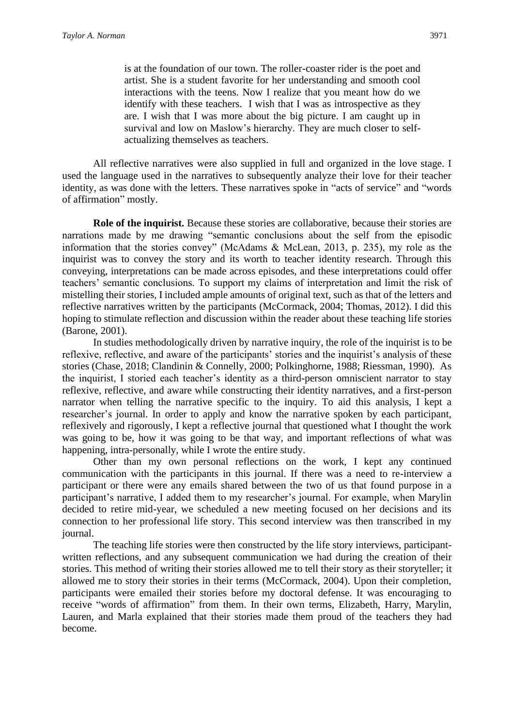is at the foundation of our town. The roller-coaster rider is the poet and artist. She is a student favorite for her understanding and smooth cool interactions with the teens. Now I realize that you meant how do we identify with these teachers. I wish that I was as introspective as they are. I wish that I was more about the big picture. I am caught up in survival and low on Maslow's hierarchy. They are much closer to selfactualizing themselves as teachers.

All reflective narratives were also supplied in full and organized in the love stage. I used the language used in the narratives to subsequently analyze their love for their teacher identity, as was done with the letters. These narratives spoke in "acts of service" and "words of affirmation" mostly.

**Role of the inquirist.** Because these stories are collaborative, because their stories are narrations made by me drawing "semantic conclusions about the self from the episodic information that the stories convey" (McAdams & McLean, 2013, p. 235), my role as the inquirist was to convey the story and its worth to teacher identity research. Through this conveying, interpretations can be made across episodes, and these interpretations could offer teachers' semantic conclusions. To support my claims of interpretation and limit the risk of mistelling their stories, I included ample amounts of original text, such as that of the letters and reflective narratives written by the participants (McCormack, 2004; Thomas, 2012). I did this hoping to stimulate reflection and discussion within the reader about these teaching life stories (Barone, 2001).

In studies methodologically driven by narrative inquiry, the role of the inquirist is to be reflexive, reflective, and aware of the participants' stories and the inquirist's analysis of these stories (Chase, 2018; Clandinin & Connelly, 2000; Polkinghorne, 1988; Riessman, 1990). As the inquirist, I storied each teacher's identity as a third-person omniscient narrator to stay reflexive, reflective, and aware while constructing their identity narratives, and a first-person narrator when telling the narrative specific to the inquiry. To aid this analysis, I kept a researcher's journal. In order to apply and know the narrative spoken by each participant, reflexively and rigorously, I kept a reflective journal that questioned what I thought the work was going to be, how it was going to be that way, and important reflections of what was happening, intra-personally, while I wrote the entire study.

Other than my own personal reflections on the work, I kept any continued communication with the participants in this journal. If there was a need to re-interview a participant or there were any emails shared between the two of us that found purpose in a participant's narrative, I added them to my researcher's journal. For example, when Marylin decided to retire mid-year, we scheduled a new meeting focused on her decisions and its connection to her professional life story. This second interview was then transcribed in my journal.

The teaching life stories were then constructed by the life story interviews, participantwritten reflections, and any subsequent communication we had during the creation of their stories. This method of writing their stories allowed me to tell their story as their storyteller; it allowed me to story their stories in their terms (McCormack, 2004). Upon their completion, participants were emailed their stories before my doctoral defense. It was encouraging to receive "words of affirmation" from them. In their own terms, Elizabeth, Harry, Marylin, Lauren, and Marla explained that their stories made them proud of the teachers they had become.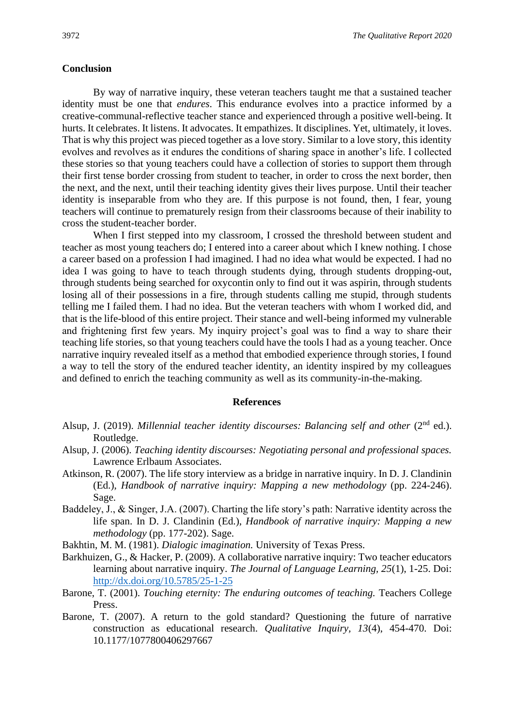#### **Conclusion**

By way of narrative inquiry, these veteran teachers taught me that a sustained teacher identity must be one that *endures*. This endurance evolves into a practice informed by a creative-communal-reflective teacher stance and experienced through a positive well-being. It hurts. It celebrates. It listens. It advocates. It empathizes. It disciplines. Yet, ultimately, it loves. That is why this project was pieced together as a love story. Similar to a love story, this identity evolves and revolves as it endures the conditions of sharing space in another's life. I collected these stories so that young teachers could have a collection of stories to support them through their first tense border crossing from student to teacher, in order to cross the next border, then the next, and the next, until their teaching identity gives their lives purpose. Until their teacher identity is inseparable from who they are. If this purpose is not found, then, I fear, young teachers will continue to prematurely resign from their classrooms because of their inability to cross the student-teacher border.

When I first stepped into my classroom, I crossed the threshold between student and teacher as most young teachers do; I entered into a career about which I knew nothing. I chose a career based on a profession I had imagined. I had no idea what would be expected. I had no idea I was going to have to teach through students dying, through students dropping-out, through students being searched for oxycontin only to find out it was aspirin, through students losing all of their possessions in a fire, through students calling me stupid, through students telling me I failed them. I had no idea. But the veteran teachers with whom I worked did, and that is the life-blood of this entire project. Their stance and well-being informed my vulnerable and frightening first few years. My inquiry project's goal was to find a way to share their teaching life stories, so that young teachers could have the tools I had as a young teacher. Once narrative inquiry revealed itself as a method that embodied experience through stories, I found a way to tell the story of the endured teacher identity, an identity inspired by my colleagues and defined to enrich the teaching community as well as its community-in-the-making.

#### **References**

- Alsup, J. (2019). *Millennial teacher identity discourses: Balancing self and other* (2<sup>nd</sup> ed.). Routledge.
- Alsup, J. (2006). *Teaching identity discourses: Negotiating personal and professional spaces.*  Lawrence Erlbaum Associates.
- Atkinson, R. (2007). The life story interview as a bridge in narrative inquiry. In D. J. Clandinin (Ed.), *Handbook of narrative inquiry: Mapping a new methodology* (pp. 224-246). Sage.
- Baddeley, J., & Singer, J.A. (2007). Charting the life story's path: Narrative identity across the life span. In D. J. Clandinin (Ed.), *Handbook of narrative inquiry: Mapping a new methodology* (pp. 177-202). Sage.
- Bakhtin, M. M. (1981). *Dialogic imagination.* University of Texas Press.
- Barkhuizen, G., & Hacker, P. (2009). A collaborative narrative inquiry: Two teacher educators learning about narrative inquiry. *The Journal of Language Learning, 25*(1), 1-25. Doi: <http://dx.doi.org/10.5785/25-1-25>
- Barone, T. (2001). *Touching eternity: The enduring outcomes of teaching*. Teachers College Press.
- Barone, T. (2007). A return to the gold standard? Questioning the future of narrative construction as educational research. *Qualitative Inquiry, 13*(4), 454-470. Doi: 10.1177/1077800406297667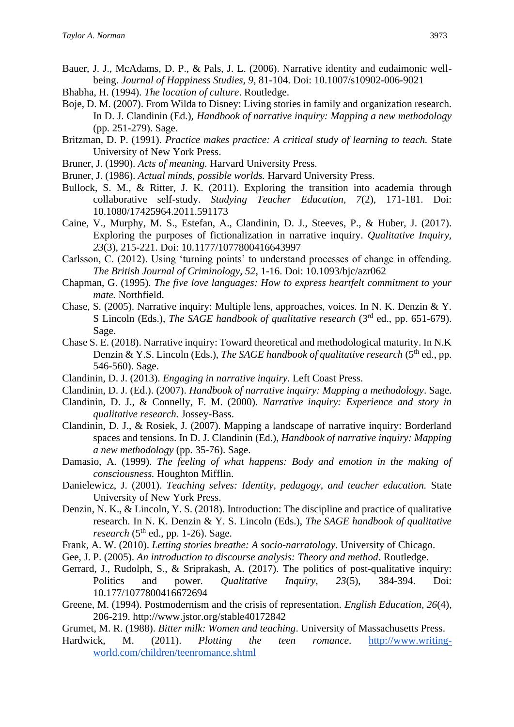- Bauer, J. J., McAdams, D. P., & Pals, J. L. (2006). Narrative identity and eudaimonic wellbeing. *Journal of Happiness Studies, 9*, 81-104. Doi: 10.1007/s10902-006-9021
- Bhabha, H. (1994). *The location of culture*. Routledge.
- Boje, D. M. (2007). From Wilda to Disney: Living stories in family and organization research. In D. J. Clandinin (Ed.), *Handbook of narrative inquiry: Mapping a new methodology*  (pp. 251-279). Sage.
- Britzman, D. P. (1991). *Practice makes practice: A critical study of learning to teach.* State University of New York Press.
- Bruner, J. (1990). *Acts of meaning.* Harvard University Press.
- Bruner, J. (1986). *Actual minds, possible worlds.* Harvard University Press.
- Bullock, S. M., & Ritter, J. K. (2011). Exploring the transition into academia through collaborative self-study. *Studying Teacher Education, 7*(2), 171-181. Doi: 10.1080/17425964.2011.591173
- Caine, V., Murphy, M. S., Estefan, A., Clandinin, D. J., Steeves, P., & Huber, J. (2017). Exploring the purposes of fictionalization in narrative inquiry. *Qualitative Inquiry, 23*(3), 215-221. Doi: 10.1177/1077800416643997
- Carlsson, C. (2012). Using 'turning points' to understand processes of change in offending. *The British Journal of Criminology, 52*, 1-16. Doi: 10.1093/bjc/azr062
- Chapman, G. (1995). *The five love languages: How to express heartfelt commitment to your mate.* Northfield.
- Chase, S. (2005). Narrative inquiry: Multiple lens, approaches, voices. In N. K. Denzin & Y. S Lincoln (Eds.), *The SAGE handbook of qualitative research* (3<sup>rd</sup> ed., pp. 651-679). Sage.
- Chase S. E. (2018). Narrative inquiry: Toward theoretical and methodological maturity. In N.K Denzin & Y.S. Lincoln (Eds.), *The SAGE handbook of qualitative research* (5<sup>th</sup> ed., pp. 546-560). Sage.
- Clandinin, D. J. (2013). *Engaging in narrative inquiry.* Left Coast Press.
- Clandinin, D. J. (Ed.). (2007). *Handbook of narrative inquiry: Mapping a methodology*. Sage.
- Clandinin, D. J., & Connelly, F. M. (2000). *Narrative inquiry: Experience and story in qualitative research.* Jossey-Bass.
- Clandinin, D. J., & Rosiek, J. (2007). Mapping a landscape of narrative inquiry: Borderland spaces and tensions. In D. J. Clandinin (Ed.), *Handbook of narrative inquiry: Mapping a new methodology* (pp. 35-76). Sage.
- Damasio, A. (1999). *The feeling of what happens: Body and emotion in the making of consciousness.* Houghton Mifflin.
- Danielewicz, J. (2001). *Teaching selves: Identity, pedagogy, and teacher education.* State University of New York Press.
- Denzin, N. K., & Lincoln, Y. S. (2018). Introduction: The discipline and practice of qualitative research. In N. K. Denzin & Y. S. Lincoln (Eds.), *The SAGE handbook of qualitative research*  $(5<sup>th</sup>$  ed., pp. 1-26). Sage.
- Frank, A. W. (2010). *Letting stories breathe: A socio-narratology.* University of Chicago.
- Gee, J. P. (2005). *An introduction to discourse analysis: Theory and method*. Routledge.
- Gerrard, J., Rudolph, S., & Sriprakash, A. (2017). The politics of post-qualitative inquiry: Politics and power. *Qualitative Inquiry, 23*(5), 384-394. Doi: 10.177/1077800416672694
- Greene, M. (1994). Postmodernism and the crisis of representation. *English Education, 26*(4), 206-219. http://www.jstor.org/stable40172842
- Grumet, M. R. (1988). *Bitter milk: Women and teaching*. University of Massachusetts Press.
- Hardwick, M. (2011). *Plotting the teen romance*. [http://www.writing](http://www.writing-world.com/children/teenromance.shtml)[world.com/children/teenromance.shtml](http://www.writing-world.com/children/teenromance.shtml)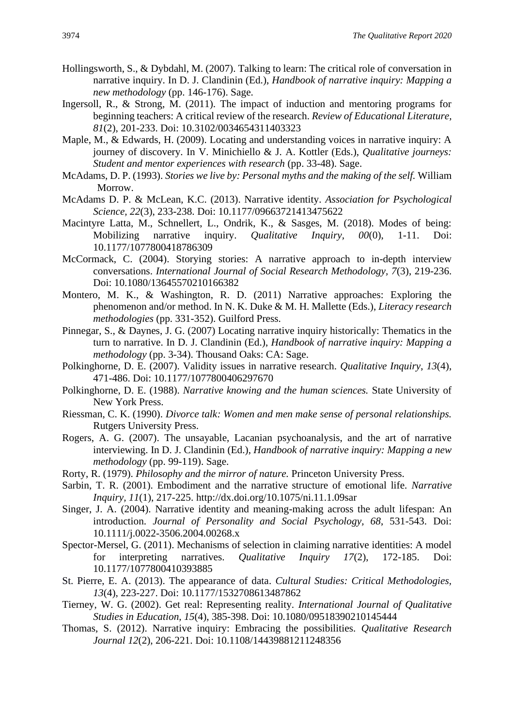- Hollingsworth, S., & Dybdahl, M. (2007). Talking to learn: The critical role of conversation in narrative inquiry. In D. J. Clandinin (Ed.), *Handbook of narrative inquiry: Mapping a new methodology* (pp. 146-176). Sage.
- Ingersoll, R., & Strong, M. (2011). The impact of induction and mentoring programs for beginning teachers: A critical review of the research. *Review of Educational Literature, 81*(2), 201-233. Doi: 10.3102/0034654311403323
- Maple, M., & Edwards, H. (2009). Locating and understanding voices in narrative inquiry: A journey of discovery. In V. Minichiello & J. A. Kottler (Eds.), *Qualitative journeys: Student and mentor experiences with research* (pp. 33-48). Sage.
- McAdams, D. P. (1993). *Stories we live by: Personal myths and the making of the self.* William Morrow.
- McAdams D. P. & McLean, K.C. (2013). Narrative identity. *Association for Psychological Science, 22*(3), 233-238. Doi: 10.1177/09663721413475622
- Macintyre Latta, M., Schnellert, L., Ondrik, K., & Sasges, M. (2018). Modes of being: Mobilizing narrative inquiry. *Qualitative Inquiry, 00*(0), 1-11. Doi: 10.1177/1077800418786309
- McCormack, C. (2004). Storying stories: A narrative approach to in-depth interview conversations. *International Journal of Social Research Methodology, 7*(3), 219-236. Doi: 10.1080/13645570210166382
- Montero, M. K., & Washington, R. D. (2011) Narrative approaches: Exploring the phenomenon and/or method. In N. K. Duke & M. H. Mallette (Eds.), *Literacy research methodologies* (pp. 331-352). Guilford Press.
- Pinnegar, S., & Daynes, J. G. (2007) Locating narrative inquiry historically: Thematics in the turn to narrative. In D. J. Clandinin (Ed.), *Handbook of narrative inquiry: Mapping a methodology* (pp. 3-34). Thousand Oaks: CA: Sage.
- Polkinghorne, D. E. (2007). Validity issues in narrative research. *Qualitative Inquiry*, *13*(4), 471-486. Doi: 10.1177/1077800406297670
- Polkinghorne, D. E. (1988). *Narrative knowing and the human sciences.* State University of New York Press.
- Riessman, C. K. (1990). *Divorce talk: Women and men make sense of personal relationships.*  Rutgers University Press.
- Rogers, A. G. (2007). The unsayable, Lacanian psychoanalysis, and the art of narrative interviewing. In D. J. Clandinin (Ed.), *Handbook of narrative inquiry: Mapping a new methodology* (pp. 99-119). Sage.
- Rorty, R. (1979). *Philosophy and the mirror of nature.* Princeton University Press.
- Sarbin, T. R. (2001). Embodiment and the narrative structure of emotional life. *Narrative Inquiry, 11*(1), 217-225. http://dx.doi.org/10.1075/ni.11.1.09sar
- Singer, J. A. (2004). Narrative identity and meaning-making across the adult lifespan: An introduction. *Journal of Personality and Social Psychology, 68*, 531-543. Doi: 10.1111/j.0022-3506.2004.00268.x
- Spector-Mersel, G. (2011). Mechanisms of selection in claiming narrative identities: A model for interpreting narratives. *Qualitative Inquiry 17*(2), 172-185. Doi: 10.1177/1077800410393885
- St. Pierre, E. A. (2013). The appearance of data. *Cultural Studies: Critical Methodologies, 13*(4), 223-227. Doi: 10.1177/1532708613487862
- Tierney, W. G. (2002). Get real: Representing reality. *International Journal of Qualitative Studies in Education, 15*(4), 385-398. Doi: 10.1080/09518390210145444
- Thomas, S. (2012). Narrative inquiry: Embracing the possibilities. *Qualitative Research Journal 12*(2), 206-221. Doi: 10.1108/14439881211248356